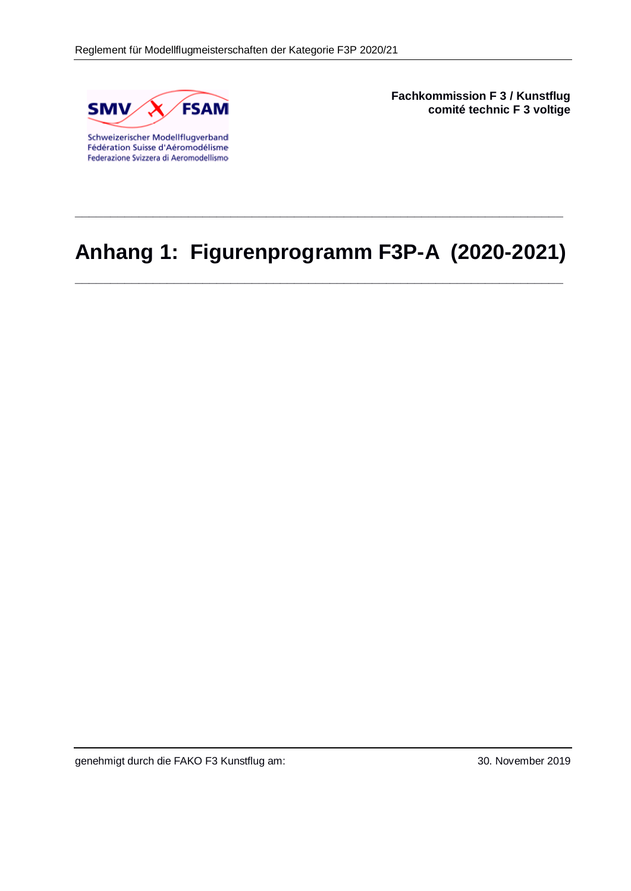

Fédération Suisse d'Aéromodélisme Federazione Svizzera di Aeromodellismo **Fachkommission F 3 / Kunstflug comité technic F 3 voltige**

# **Anhang 1: Figurenprogramm F3P-A (2020-2021)**

**\_\_\_\_\_\_\_\_\_\_\_\_\_\_\_\_\_\_\_\_\_\_\_\_\_\_\_\_\_\_\_\_\_\_\_\_\_\_\_\_\_\_\_\_\_\_\_\_\_\_\_\_\_\_\_\_\_\_\_\_\_\_\_\_\_\_\_\_\_**

**\_\_\_\_\_\_\_\_\_\_\_\_\_\_\_\_\_\_\_\_\_\_\_\_\_\_\_\_\_\_\_\_\_\_\_\_\_\_\_\_\_\_\_\_\_\_\_\_\_\_\_\_\_\_\_\_\_\_\_\_\_\_\_\_\_\_\_\_\_**

genehmigt durch die FAKO F3 Kunstflug am: 30. November 2019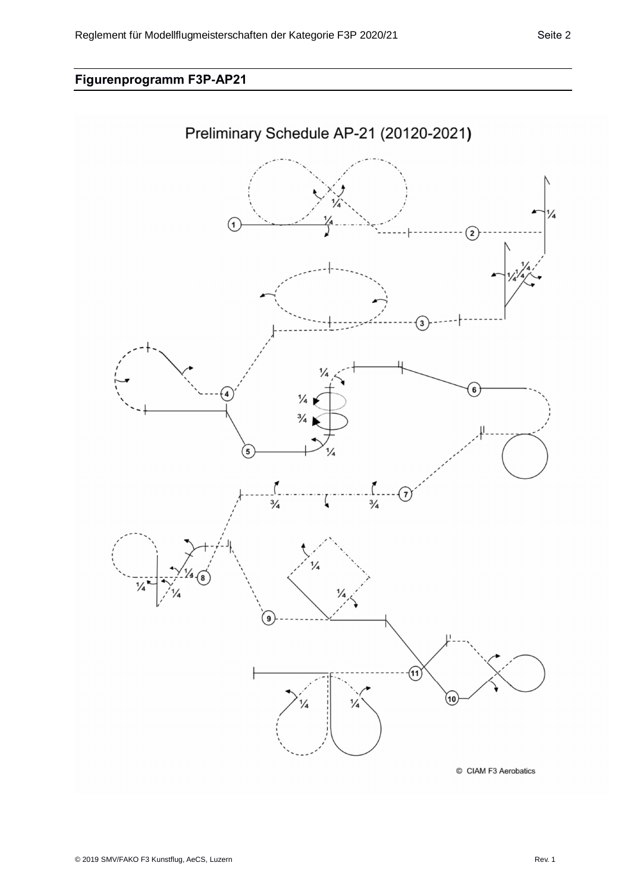# **Figurenprogramm F3P-AP21**

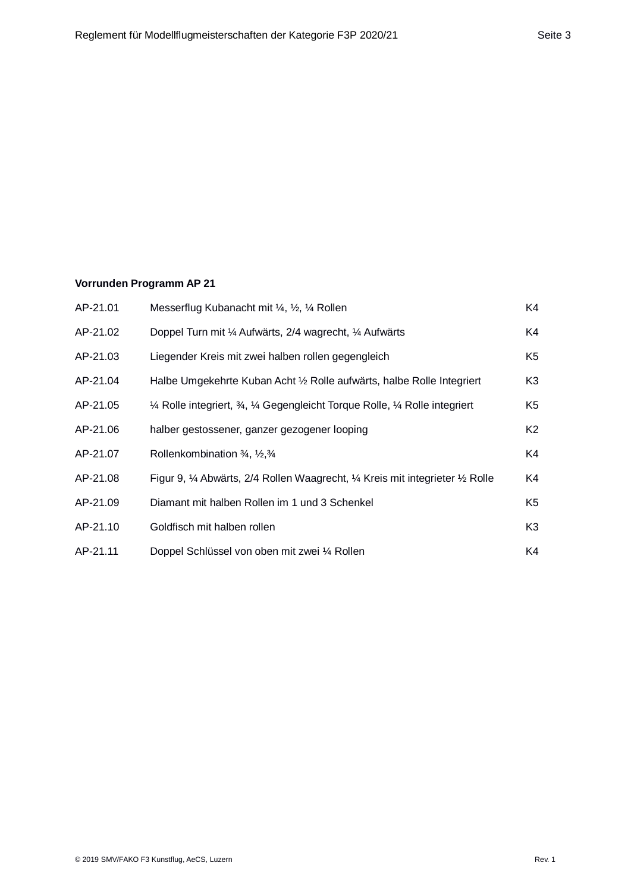### **Vorrunden Programm AP 21**

| AP-21.01 | Messerflug Kubanacht mit ¼, ½, ¼ Rollen                                         | K4             |
|----------|---------------------------------------------------------------------------------|----------------|
| AP-21.02 | Doppel Turn mit 1/4 Aufwärts, 2/4 wagrecht, 1/4 Aufwärts                        | K4             |
| AP-21.03 | Liegender Kreis mit zwei halben rollen gegengleich                              | K5             |
| AP-21.04 | Halbe Umgekehrte Kuban Acht 1/2 Rolle aufwärts, halbe Rolle Integriert          | K3             |
| AP-21.05 | 1⁄4 Rolle integriert, 3⁄4, 1⁄4 Gegengleicht Torque Rolle, 1⁄4 Rolle integriert  | K5             |
| AP-21.06 | halber gestossener, ganzer gezogener looping                                    | K2             |
| AP-21.07 | Rollenkombination 3/4, 1/2, 3/4                                                 | K4             |
| AP-21.08 | Figur 9, 1⁄4 Abwärts, 2/4 Rollen Waagrecht, 1⁄4 Kreis mit integrieter 1/2 Rolle | K4             |
| AP-21.09 | Diamant mit halben Rollen im 1 und 3 Schenkel                                   | K5             |
| AP-21.10 | Goldfisch mit halben rollen                                                     | K <sub>3</sub> |
| AP-21.11 | Doppel Schlüssel von oben mit zwei ¼ Rollen                                     | K4             |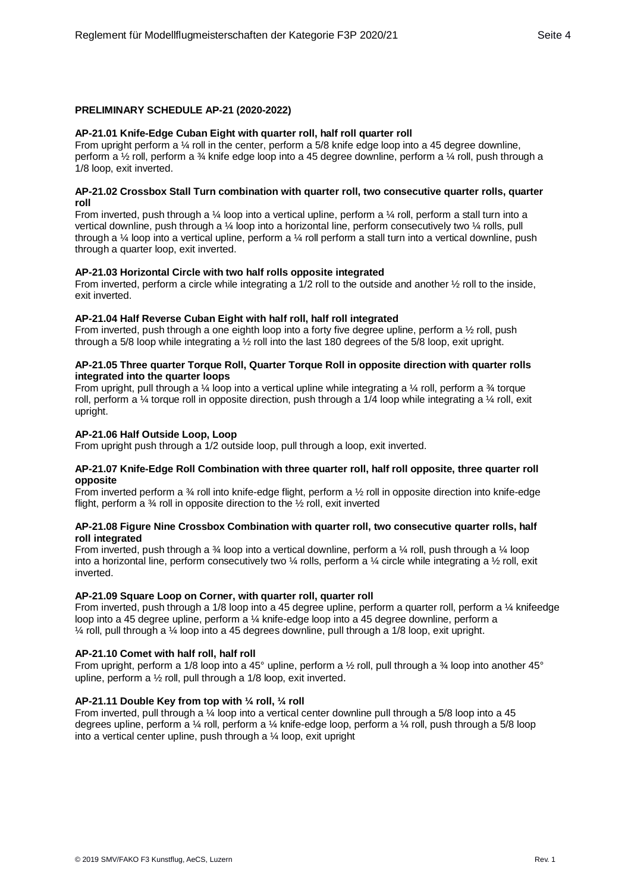### **PRELIMINARY SCHEDULE AP-21 (2020-2022)**

### **AP-21.01 Knife-Edge Cuban Eight with quarter roll, half roll quarter roll**

From upright perform a 1/4 roll in the center, perform a 5/8 knife edge loop into a 45 degree downline, perform a ½ roll, perform a ¾ knife edge loop into a 45 degree downline, perform a ¼ roll, push through a 1/8 loop, exit inverted.

### **AP-21.02 Crossbox Stall Turn combination with quarter roll, two consecutive quarter rolls, quarter roll**

From inverted, push through a ¼ loop into a vertical upline, perform a ¼ roll, perform a stall turn into a vertical downline, push through a ¼ loop into a horizontal line, perform consecutively two ¼ rolls, pull through a ¼ loop into a vertical upline, perform a ¼ roll perform a stall turn into a vertical downline, push through a quarter loop, exit inverted.

### **AP-21.03 Horizontal Circle with two half rolls opposite integrated**

From inverted, perform a circle while integrating a 1/2 roll to the outside and another  $\frac{1}{2}$  roll to the inside, exit inverted.

### **AP-21.04 Half Reverse Cuban Eight with half roll, half roll integrated**

From inverted, push through a one eighth loop into a forty five degree upline, perform a ½ roll, push through a 5/8 loop while integrating a ½ roll into the last 180 degrees of the 5/8 loop, exit upright.

### **AP-21.05 Three quarter Torque Roll, Quarter Torque Roll in opposite direction with quarter rolls integrated into the quarter loops**

From upright, pull through a ¼ loop into a vertical upline while integrating a ¼ roll, perform a  $\frac{3}{4}$  torque roll, perform a ¼ torque roll in opposite direction, push through a 1/4 loop while integrating a ¼ roll, exit upright.

### **AP-21.06 Half Outside Loop, Loop**

From upright push through a 1/2 outside loop, pull through a loop, exit inverted.

### **AP-21.07 Knife-Edge Roll Combination with three quarter roll, half roll opposite, three quarter roll opposite**

From inverted perform a ¾ roll into knife-edge flight, perform a ½ roll in opposite direction into knife-edge flight, perform a ¾ roll in opposite direction to the ½ roll, exit inverted

### **AP-21.08 Figure Nine Crossbox Combination with quarter roll, two consecutive quarter rolls, half roll integrated**

From inverted, push through a ¾ loop into a vertical downline, perform a ¼ roll, push through a ¼ loop into a horizontal line, perform consecutively two ¼ rolls, perform a ¼ circle while integrating a ½ roll, exit inverted.

### **AP-21.09 Square Loop on Corner, with quarter roll, quarter roll**

From inverted, push through a 1/8 loop into a 45 degree upline, perform a quarter roll, perform a ¼ knifeedge loop into a 45 degree upline, perform a ¼ knife-edge loop into a 45 degree downline, perform a  $\frac{1}{4}$  roll, pull through a  $\frac{1}{4}$  loop into a 45 degrees downline, pull through a 1/8 loop, exit upright.

### **AP-21.10 Comet with half roll, half roll**

From upright, perform a 1/8 loop into a 45° upline, perform a 1/2 roll, pull through a 34 loop into another 45° upline, perform a ½ roll, pull through a 1/8 loop, exit inverted.

### **AP-21.11 Double Key from top with ¼ roll, ¼ roll**

From inverted, pull through a ¼ loop into a vertical center downline pull through a 5/8 loop into a 45 degrees upline, perform a ¼ roll, perform a ¼ knife-edge loop, perform a ¼ roll, push through a 5/8 loop into a vertical center upline, push through a ¼ loop, exit upright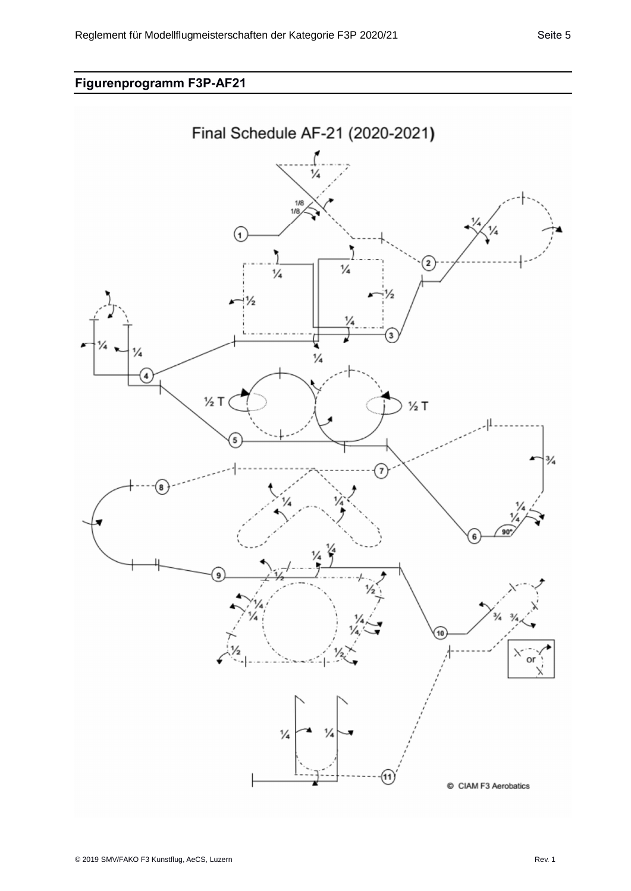# **Figurenprogramm F3P-AF21**

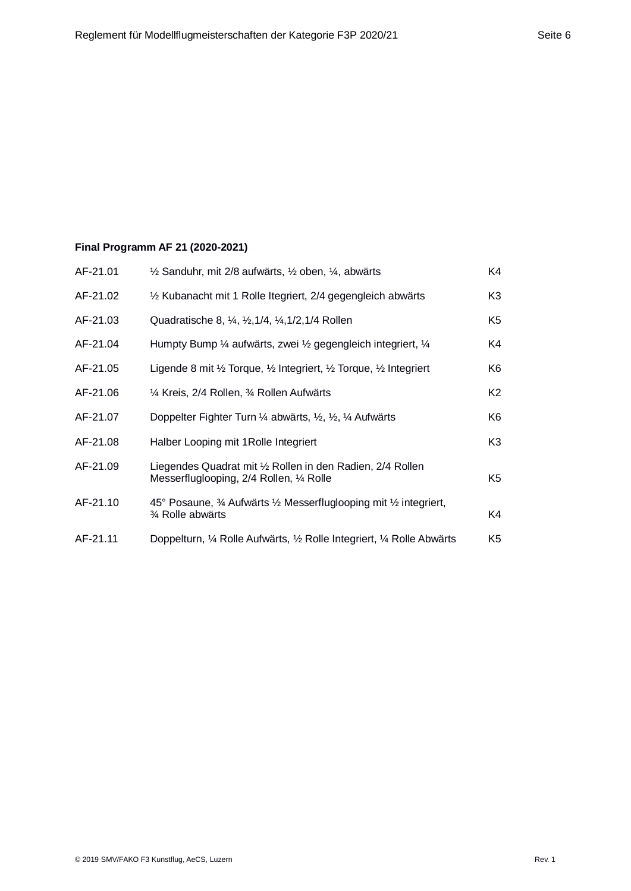## **Final Programm AF 21 (2020-2021)**

| AF-21.01 | $\frac{1}{2}$ Sanduhr, mit 2/8 aufwärts, $\frac{1}{2}$ oben, $\frac{1}{4}$ , abwärts                   | K4             |
|----------|--------------------------------------------------------------------------------------------------------|----------------|
| AF-21.02 | 1/2 Kubanacht mit 1 Rolle Itegriert, 2/4 gegengleich abwärts                                           | K3             |
| AF-21.03 | Quadratische 8, 1/4, 1/2, 1/4, 1/2, 1/4 Rollen                                                         | K5             |
| AF-21.04 | Humpty Bump 1/4 aufwärts, zwei 1/2 gegengleich integriert, 1/4                                         | K4             |
| AF-21.05 | Ligende 8 mit 1/2 Torque, 1/2 Integriert, 1/2 Torque, 1/2 Integriert                                   | K6             |
| AF-21.06 | 1⁄4 Kreis, 2/4 Rollen, 3⁄4 Rollen Aufwärts                                                             | K <sub>2</sub> |
| AF-21.07 | Doppelter Fighter Turn 1/4 abwärts, 1/2, 1/4 Aufwärts                                                  | K6             |
| AF-21.08 | Halber Looping mit 1Rolle Integriert                                                                   | K <sub>3</sub> |
| AF-21.09 | Liegendes Quadrat mit 1/2 Rollen in den Radien, 2/4 Rollen<br>Messerfluglooping, 2/4 Rollen, 1/4 Rolle | K <sub>5</sub> |
| AF-21.10 | 45° Posaune, 3⁄4 Aufwärts 1⁄2 Messerfluglooping mit 1⁄2 integriert,<br>3⁄4 Rolle abwärts               | K4             |
| AF-21.11 | Doppelturn, 1/4 Rolle Aufwärts, 1/2 Rolle Integriert, 1/4 Rolle Abwärts                                | K5             |